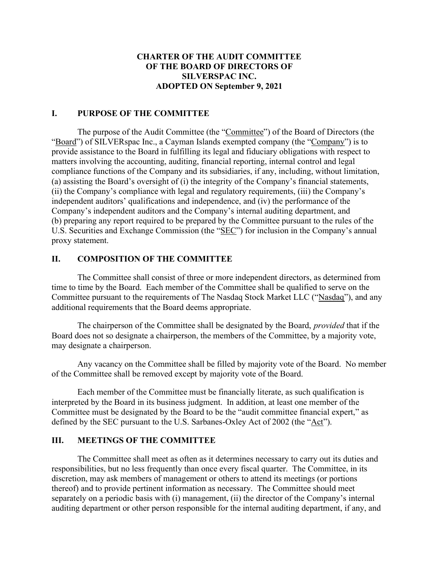## CHARTER OF THE AUDIT COMMITTEE OF THE BOARD OF DIRECTORS OF SILVERSPAC INC. ADOPTED ON September 9, 2021

#### I. PURPOSE OF THE COMMITTEE

The purpose of the Audit Committee (the "Committee") of the Board of Directors (the "Board") of SILVERspac Inc., a Cayman Islands exempted company (the "Company") is to provide assistance to the Board in fulfilling its legal and fiduciary obligations with respect to matters involving the accounting, auditing, financial reporting, internal control and legal compliance functions of the Company and its subsidiaries, if any, including, without limitation, (a) assisting the Board's oversight of (i) the integrity of the Company's financial statements, (ii) the Company's compliance with legal and regulatory requirements, (iii) the Company's independent auditors' qualifications and independence, and (iv) the performance of the Company's independent auditors and the Company's internal auditing department, and (b) preparing any report required to be prepared by the Committee pursuant to the rules of the U.S. Securities and Exchange Commission (the "SEC") for inclusion in the Company's annual proxy statement.

#### II. COMPOSITION OF THE COMMITTEE

The Committee shall consist of three or more independent directors, as determined from time to time by the Board. Each member of the Committee shall be qualified to serve on the Committee pursuant to the requirements of The Nasdaq Stock Market LLC ("Nasdaq"), and any additional requirements that the Board deems appropriate.

The chairperson of the Committee shall be designated by the Board, *provided* that if the Board does not so designate a chairperson, the members of the Committee, by a majority vote, may designate a chairperson.

Any vacancy on the Committee shall be filled by majority vote of the Board. No member of the Committee shall be removed except by majority vote of the Board.

Each member of the Committee must be financially literate, as such qualification is interpreted by the Board in its business judgment. In addition, at least one member of the Committee must be designated by the Board to be the "audit committee financial expert," as defined by the SEC pursuant to the U.S. Sarbanes-Oxley Act of 2002 (the "Act").

#### III. MEETINGS OF THE COMMITTEE

The Committee shall meet as often as it determines necessary to carry out its duties and responsibilities, but no less frequently than once every fiscal quarter. The Committee, in its discretion, may ask members of management or others to attend its meetings (or portions thereof) and to provide pertinent information as necessary. The Committee should meet separately on a periodic basis with (i) management, (ii) the director of the Company's internal auditing department or other person responsible for the internal auditing department, if any, and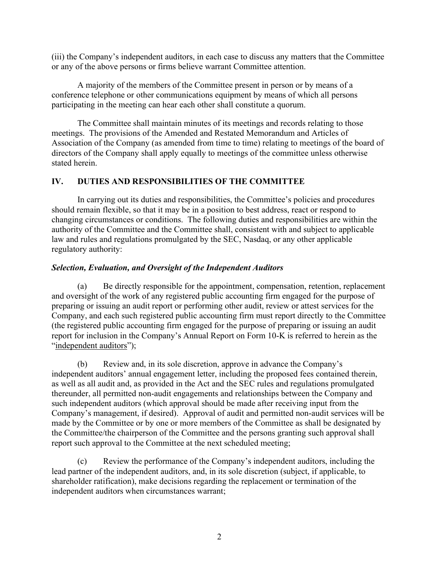(iii) the Company's independent auditors, in each case to discuss any matters that the Committee or any of the above persons or firms believe warrant Committee attention.

A majority of the members of the Committee present in person or by means of a conference telephone or other communications equipment by means of which all persons participating in the meeting can hear each other shall constitute a quorum.

The Committee shall maintain minutes of its meetings and records relating to those meetings. The provisions of the Amended and Restated Memorandum and Articles of Association of the Company (as amended from time to time) relating to meetings of the board of directors of the Company shall apply equally to meetings of the committee unless otherwise stated herein.

## IV. DUTIES AND RESPONSIBILITIES OF THE COMMITTEE

In carrying out its duties and responsibilities, the Committee's policies and procedures should remain flexible, so that it may be in a position to best address, react or respond to changing circumstances or conditions. The following duties and responsibilities are within the authority of the Committee and the Committee shall, consistent with and subject to applicable law and rules and regulations promulgated by the SEC, Nasdaq, or any other applicable regulatory authority:

## Selection, Evaluation, and Oversight of the Independent Auditors

(a) Be directly responsible for the appointment, compensation, retention, replacement and oversight of the work of any registered public accounting firm engaged for the purpose of preparing or issuing an audit report or performing other audit, review or attest services for the Company, and each such registered public accounting firm must report directly to the Committee (the registered public accounting firm engaged for the purpose of preparing or issuing an audit report for inclusion in the Company's Annual Report on Form 10-K is referred to herein as the "independent auditors");

(b) Review and, in its sole discretion, approve in advance the Company's independent auditors' annual engagement letter, including the proposed fees contained therein, as well as all audit and, as provided in the Act and the SEC rules and regulations promulgated thereunder, all permitted non-audit engagements and relationships between the Company and such independent auditors (which approval should be made after receiving input from the Company's management, if desired). Approval of audit and permitted non-audit services will be made by the Committee or by one or more members of the Committee as shall be designated by the Committee/the chairperson of the Committee and the persons granting such approval shall report such approval to the Committee at the next scheduled meeting;

(c) Review the performance of the Company's independent auditors, including the lead partner of the independent auditors, and, in its sole discretion (subject, if applicable, to shareholder ratification), make decisions regarding the replacement or termination of the independent auditors when circumstances warrant;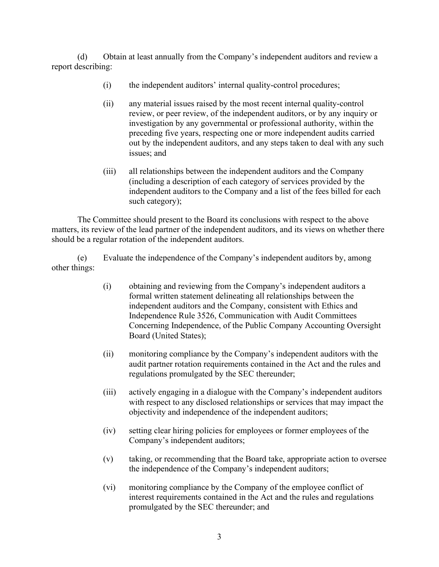(d) Obtain at least annually from the Company's independent auditors and review a report describing:

- (i) the independent auditors' internal quality-control procedures;
- (ii) any material issues raised by the most recent internal quality-control review, or peer review, of the independent auditors, or by any inquiry or investigation by any governmental or professional authority, within the preceding five years, respecting one or more independent audits carried out by the independent auditors, and any steps taken to deal with any such issues; and
- (iii) all relationships between the independent auditors and the Company (including a description of each category of services provided by the independent auditors to the Company and a list of the fees billed for each such category);

The Committee should present to the Board its conclusions with respect to the above matters, its review of the lead partner of the independent auditors, and its views on whether there should be a regular rotation of the independent auditors.

(e) Evaluate the independence of the Company's independent auditors by, among other things:

- (i) obtaining and reviewing from the Company's independent auditors a formal written statement delineating all relationships between the independent auditors and the Company, consistent with Ethics and Independence Rule 3526, Communication with Audit Committees Concerning Independence, of the Public Company Accounting Oversight Board (United States);
- (ii) monitoring compliance by the Company's independent auditors with the audit partner rotation requirements contained in the Act and the rules and regulations promulgated by the SEC thereunder;
- (iii) actively engaging in a dialogue with the Company's independent auditors with respect to any disclosed relationships or services that may impact the objectivity and independence of the independent auditors;
- (iv) setting clear hiring policies for employees or former employees of the Company's independent auditors;
- (v) taking, or recommending that the Board take, appropriate action to oversee the independence of the Company's independent auditors;
- (vi) monitoring compliance by the Company of the employee conflict of interest requirements contained in the Act and the rules and regulations promulgated by the SEC thereunder; and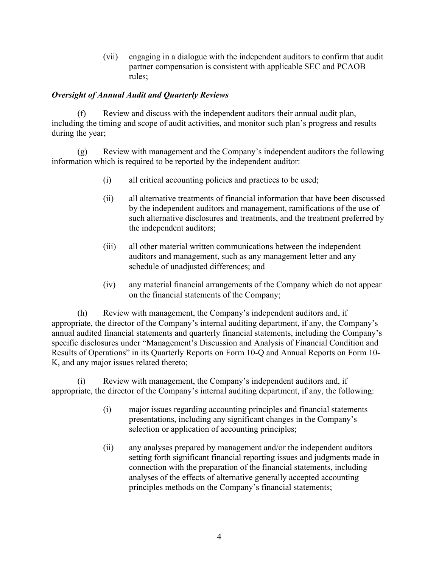(vii) engaging in a dialogue with the independent auditors to confirm that audit partner compensation is consistent with applicable SEC and PCAOB rules;

# Oversight of Annual Audit and Quarterly Reviews

(f) Review and discuss with the independent auditors their annual audit plan, including the timing and scope of audit activities, and monitor such plan's progress and results during the year;

(g) Review with management and the Company's independent auditors the following information which is required to be reported by the independent auditor:

- (i) all critical accounting policies and practices to be used;
- (ii) all alternative treatments of financial information that have been discussed by the independent auditors and management, ramifications of the use of such alternative disclosures and treatments, and the treatment preferred by the independent auditors;
- (iii) all other material written communications between the independent auditors and management, such as any management letter and any schedule of unadjusted differences; and
- (iv) any material financial arrangements of the Company which do not appear on the financial statements of the Company;

(h) Review with management, the Company's independent auditors and, if appropriate, the director of the Company's internal auditing department, if any, the Company's annual audited financial statements and quarterly financial statements, including the Company's specific disclosures under "Management's Discussion and Analysis of Financial Condition and Results of Operations" in its Quarterly Reports on Form 10-Q and Annual Reports on Form 10- K, and any major issues related thereto;

(i) Review with management, the Company's independent auditors and, if appropriate, the director of the Company's internal auditing department, if any, the following:

- (i) major issues regarding accounting principles and financial statements presentations, including any significant changes in the Company's selection or application of accounting principles;
- (ii) any analyses prepared by management and/or the independent auditors setting forth significant financial reporting issues and judgments made in connection with the preparation of the financial statements, including analyses of the effects of alternative generally accepted accounting principles methods on the Company's financial statements;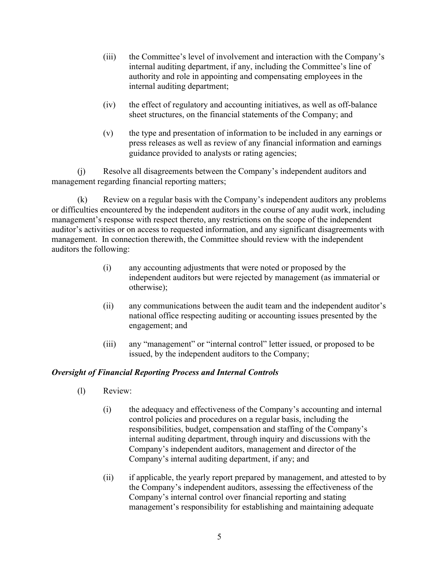- (iii) the Committee's level of involvement and interaction with the Company's internal auditing department, if any, including the Committee's line of authority and role in appointing and compensating employees in the internal auditing department;
- (iv) the effect of regulatory and accounting initiatives, as well as off-balance sheet structures, on the financial statements of the Company; and
- (v) the type and presentation of information to be included in any earnings or press releases as well as review of any financial information and earnings guidance provided to analysts or rating agencies;

(j) Resolve all disagreements between the Company's independent auditors and management regarding financial reporting matters;

(k) Review on a regular basis with the Company's independent auditors any problems or difficulties encountered by the independent auditors in the course of any audit work, including management's response with respect thereto, any restrictions on the scope of the independent auditor's activities or on access to requested information, and any significant disagreements with management. In connection therewith, the Committee should review with the independent auditors the following:

- (i) any accounting adjustments that were noted or proposed by the independent auditors but were rejected by management (as immaterial or otherwise);
- (ii) any communications between the audit team and the independent auditor's national office respecting auditing or accounting issues presented by the engagement; and
- (iii) any "management" or "internal control" letter issued, or proposed to be issued, by the independent auditors to the Company;

# Oversight of Financial Reporting Process and Internal Controls

- (l) Review:
	- (i) the adequacy and effectiveness of the Company's accounting and internal control policies and procedures on a regular basis, including the responsibilities, budget, compensation and staffing of the Company's internal auditing department, through inquiry and discussions with the Company's independent auditors, management and director of the Company's internal auditing department, if any; and
	- (ii) if applicable, the yearly report prepared by management, and attested to by the Company's independent auditors, assessing the effectiveness of the Company's internal control over financial reporting and stating management's responsibility for establishing and maintaining adequate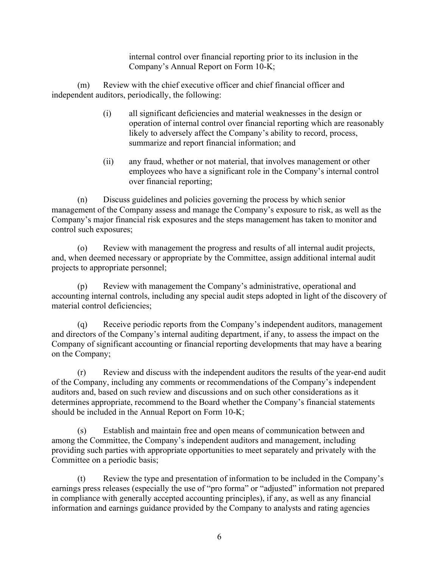internal control over financial reporting prior to its inclusion in the Company's Annual Report on Form 10-K;

(m) Review with the chief executive officer and chief financial officer and independent auditors, periodically, the following:

- (i) all significant deficiencies and material weaknesses in the design or operation of internal control over financial reporting which are reasonably likely to adversely affect the Company's ability to record, process, summarize and report financial information; and
- (ii) any fraud, whether or not material, that involves management or other employees who have a significant role in the Company's internal control over financial reporting;

(n) Discuss guidelines and policies governing the process by which senior management of the Company assess and manage the Company's exposure to risk, as well as the Company's major financial risk exposures and the steps management has taken to monitor and control such exposures;

(o) Review with management the progress and results of all internal audit projects, and, when deemed necessary or appropriate by the Committee, assign additional internal audit projects to appropriate personnel;

(p) Review with management the Company's administrative, operational and accounting internal controls, including any special audit steps adopted in light of the discovery of material control deficiencies;

(q) Receive periodic reports from the Company's independent auditors, management and directors of the Company's internal auditing department, if any, to assess the impact on the Company of significant accounting or financial reporting developments that may have a bearing on the Company;

(r) Review and discuss with the independent auditors the results of the year-end audit of the Company, including any comments or recommendations of the Company's independent auditors and, based on such review and discussions and on such other considerations as it determines appropriate, recommend to the Board whether the Company's financial statements should be included in the Annual Report on Form 10-K;

(s) Establish and maintain free and open means of communication between and among the Committee, the Company's independent auditors and management, including providing such parties with appropriate opportunities to meet separately and privately with the Committee on a periodic basis;

(t) Review the type and presentation of information to be included in the Company's earnings press releases (especially the use of "pro forma" or "adjusted" information not prepared in compliance with generally accepted accounting principles), if any, as well as any financial information and earnings guidance provided by the Company to analysts and rating agencies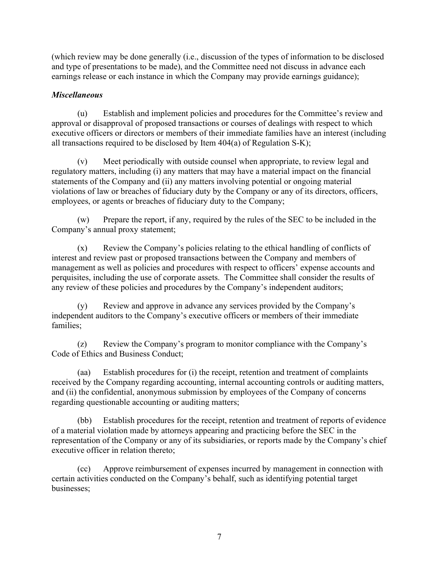(which review may be done generally (i.e., discussion of the types of information to be disclosed and type of presentations to be made), and the Committee need not discuss in advance each earnings release or each instance in which the Company may provide earnings guidance);

# **Miscellaneous**

(u) Establish and implement policies and procedures for the Committee's review and approval or disapproval of proposed transactions or courses of dealings with respect to which executive officers or directors or members of their immediate families have an interest (including all transactions required to be disclosed by Item 404(a) of Regulation S-K);

(v) Meet periodically with outside counsel when appropriate, to review legal and regulatory matters, including (i) any matters that may have a material impact on the financial statements of the Company and (ii) any matters involving potential or ongoing material violations of law or breaches of fiduciary duty by the Company or any of its directors, officers, employees, or agents or breaches of fiduciary duty to the Company;

(w) Prepare the report, if any, required by the rules of the SEC to be included in the Company's annual proxy statement;

(x) Review the Company's policies relating to the ethical handling of conflicts of interest and review past or proposed transactions between the Company and members of management as well as policies and procedures with respect to officers' expense accounts and perquisites, including the use of corporate assets. The Committee shall consider the results of any review of these policies and procedures by the Company's independent auditors;

(y) Review and approve in advance any services provided by the Company's independent auditors to the Company's executive officers or members of their immediate families;

(z) Review the Company's program to monitor compliance with the Company's Code of Ethics and Business Conduct;

(aa) Establish procedures for (i) the receipt, retention and treatment of complaints received by the Company regarding accounting, internal accounting controls or auditing matters, and (ii) the confidential, anonymous submission by employees of the Company of concerns regarding questionable accounting or auditing matters;

(bb) Establish procedures for the receipt, retention and treatment of reports of evidence of a material violation made by attorneys appearing and practicing before the SEC in the representation of the Company or any of its subsidiaries, or reports made by the Company's chief executive officer in relation thereto;

(cc) Approve reimbursement of expenses incurred by management in connection with certain activities conducted on the Company's behalf, such as identifying potential target businesses;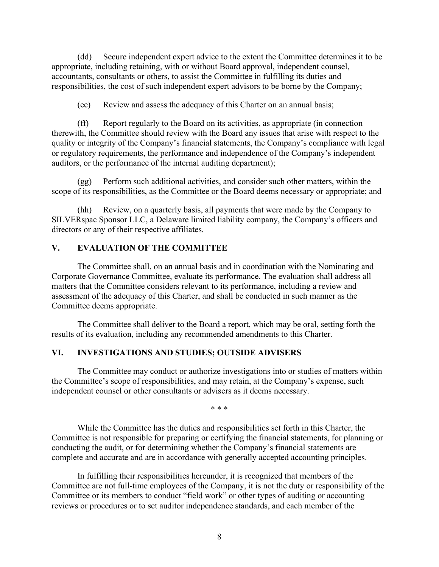(dd) Secure independent expert advice to the extent the Committee determines it to be appropriate, including retaining, with or without Board approval, independent counsel, accountants, consultants or others, to assist the Committee in fulfilling its duties and responsibilities, the cost of such independent expert advisors to be borne by the Company;

(ee) Review and assess the adequacy of this Charter on an annual basis;

(ff) Report regularly to the Board on its activities, as appropriate (in connection therewith, the Committee should review with the Board any issues that arise with respect to the quality or integrity of the Company's financial statements, the Company's compliance with legal or regulatory requirements, the performance and independence of the Company's independent auditors, or the performance of the internal auditing department);

(gg) Perform such additional activities, and consider such other matters, within the scope of its responsibilities, as the Committee or the Board deems necessary or appropriate; and

(hh) Review, on a quarterly basis, all payments that were made by the Company to SILVERspac Sponsor LLC, a Delaware limited liability company, the Company's officers and directors or any of their respective affiliates.

### V. EVALUATION OF THE COMMITTEE

The Committee shall, on an annual basis and in coordination with the Nominating and Corporate Governance Committee, evaluate its performance. The evaluation shall address all matters that the Committee considers relevant to its performance, including a review and assessment of the adequacy of this Charter, and shall be conducted in such manner as the Committee deems appropriate.

The Committee shall deliver to the Board a report, which may be oral, setting forth the results of its evaluation, including any recommended amendments to this Charter.

### VI. INVESTIGATIONS AND STUDIES; OUTSIDE ADVISERS

The Committee may conduct or authorize investigations into or studies of matters within the Committee's scope of responsibilities, and may retain, at the Company's expense, such independent counsel or other consultants or advisers as it deems necessary.

\* \* \*

While the Committee has the duties and responsibilities set forth in this Charter, the Committee is not responsible for preparing or certifying the financial statements, for planning or conducting the audit, or for determining whether the Company's financial statements are complete and accurate and are in accordance with generally accepted accounting principles.

In fulfilling their responsibilities hereunder, it is recognized that members of the Committee are not full-time employees of the Company, it is not the duty or responsibility of the Committee or its members to conduct "field work" or other types of auditing or accounting reviews or procedures or to set auditor independence standards, and each member of the